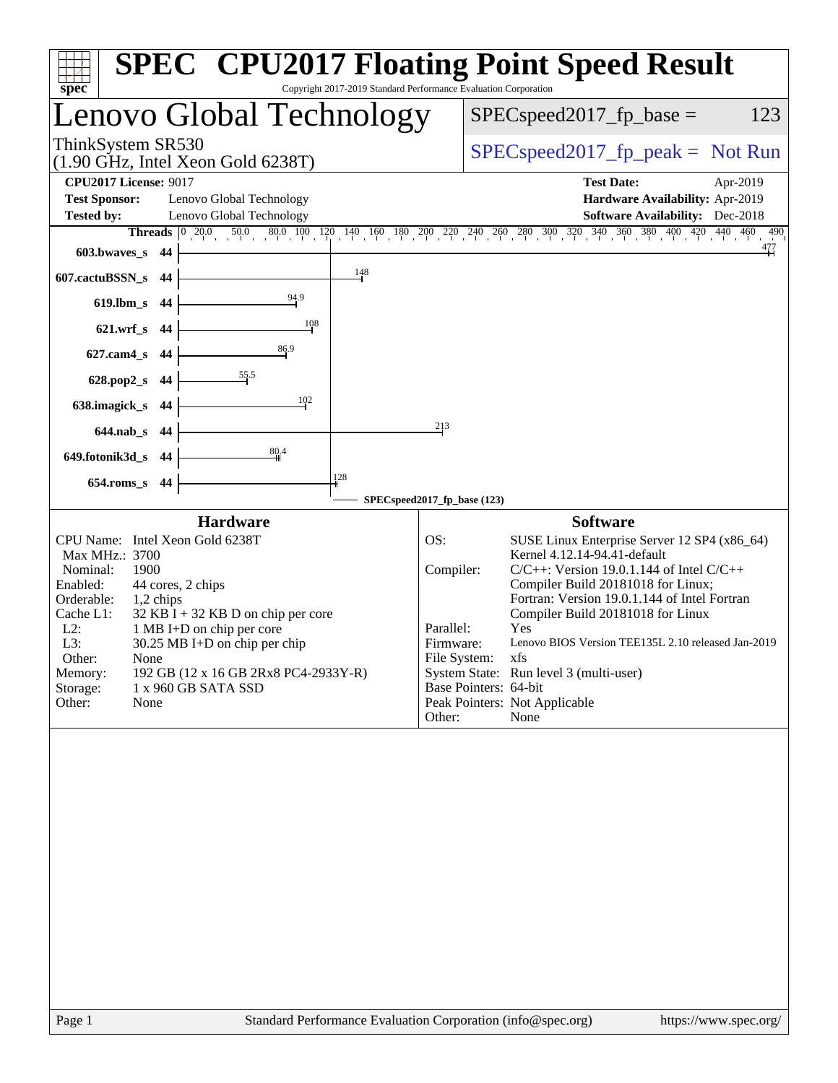| Copyright 2017-2019 Standard Performance Evaluation Corporation<br>spec <sup>®</sup>                                                                                                                                                                                                                                                                                                                               | <b>SPEC<sup>®</sup> CPU2017 Floating Point Speed Result</b>                                                                                                                                                                                                                                                                                                                                                                                                                                                                         |
|--------------------------------------------------------------------------------------------------------------------------------------------------------------------------------------------------------------------------------------------------------------------------------------------------------------------------------------------------------------------------------------------------------------------|-------------------------------------------------------------------------------------------------------------------------------------------------------------------------------------------------------------------------------------------------------------------------------------------------------------------------------------------------------------------------------------------------------------------------------------------------------------------------------------------------------------------------------------|
| Lenovo Global Technology                                                                                                                                                                                                                                                                                                                                                                                           | $SPEC speed2017fp base =$<br>123                                                                                                                                                                                                                                                                                                                                                                                                                                                                                                    |
| ThinkSystem SR530<br>$(1.90 \text{ GHz}, \text{Intel Xeon Gold } 6238 \text{T})$                                                                                                                                                                                                                                                                                                                                   | $SPEC speed2017rfp peak = Not Run$                                                                                                                                                                                                                                                                                                                                                                                                                                                                                                  |
| <b>CPU2017 License: 9017</b>                                                                                                                                                                                                                                                                                                                                                                                       | <b>Test Date:</b><br>Apr-2019                                                                                                                                                                                                                                                                                                                                                                                                                                                                                                       |
| <b>Test Sponsor:</b><br>Lenovo Global Technology                                                                                                                                                                                                                                                                                                                                                                   | Hardware Availability: Apr-2019                                                                                                                                                                                                                                                                                                                                                                                                                                                                                                     |
| <b>Tested by:</b><br>Lenovo Global Technology                                                                                                                                                                                                                                                                                                                                                                      | <b>Software Availability:</b> Dec-2018                                                                                                                                                                                                                                                                                                                                                                                                                                                                                              |
|                                                                                                                                                                                                                                                                                                                                                                                                                    | <b>Threads</b> $\begin{bmatrix} 0 & 20.0 & 50.0 & 80.0 & 100 & 120 & 140 & 160 & 180 & 200 & 220 & 240 & 260 & 280 & 300 & 320 & 340 & 360 & 380 & 400 & 420 & 440 & 460 & 490 \end{bmatrix}$                                                                                                                                                                                                                                                                                                                                       |
| 603.bwaves_s 44                                                                                                                                                                                                                                                                                                                                                                                                    |                                                                                                                                                                                                                                                                                                                                                                                                                                                                                                                                     |
| 148<br>607.cactuBSSN_s 44                                                                                                                                                                                                                                                                                                                                                                                          |                                                                                                                                                                                                                                                                                                                                                                                                                                                                                                                                     |
| 94.9<br>619.lbm_s 44                                                                                                                                                                                                                                                                                                                                                                                               |                                                                                                                                                                                                                                                                                                                                                                                                                                                                                                                                     |
| 108<br>621.wrf_s 44                                                                                                                                                                                                                                                                                                                                                                                                |                                                                                                                                                                                                                                                                                                                                                                                                                                                                                                                                     |
| 86.9<br>627.cam4_s 44                                                                                                                                                                                                                                                                                                                                                                                              |                                                                                                                                                                                                                                                                                                                                                                                                                                                                                                                                     |
| 628.pop2_s 44                                                                                                                                                                                                                                                                                                                                                                                                      |                                                                                                                                                                                                                                                                                                                                                                                                                                                                                                                                     |
| 102<br>638.imagick_s 44                                                                                                                                                                                                                                                                                                                                                                                            |                                                                                                                                                                                                                                                                                                                                                                                                                                                                                                                                     |
| 644.nab_s 44                                                                                                                                                                                                                                                                                                                                                                                                       | 213                                                                                                                                                                                                                                                                                                                                                                                                                                                                                                                                 |
| 80.4<br>649.fotonik3d_s 44                                                                                                                                                                                                                                                                                                                                                                                         |                                                                                                                                                                                                                                                                                                                                                                                                                                                                                                                                     |
| 128<br>654.roms_s 44                                                                                                                                                                                                                                                                                                                                                                                               |                                                                                                                                                                                                                                                                                                                                                                                                                                                                                                                                     |
|                                                                                                                                                                                                                                                                                                                                                                                                                    | SPECspeed2017_fp_base (123)                                                                                                                                                                                                                                                                                                                                                                                                                                                                                                         |
| <b>Hardware</b><br>CPU Name: Intel Xeon Gold 6238T<br>Max MHz.: 3700<br>Nominal:<br>1900<br>Enabled:<br>44 cores, 2 chips<br>Orderable:<br>1,2 chips<br>Cache L1:<br>$32$ KB I + 32 KB D on chip per core<br>$L2$ :<br>1 MB I+D on chip per core<br>L3:<br>30.25 MB I+D on chip per chip<br>Other:<br>None<br>192 GB (12 x 16 GB 2Rx8 PC4-2933Y-R)<br>Memory:<br>1 x 960 GB SATA SSD<br>Storage:<br>Other:<br>None | <b>Software</b><br>SUSE Linux Enterprise Server 12 SP4 (x86_64)<br>OS:<br>Kernel 4.12.14-94.41-default<br>Compiler:<br>$C/C++$ : Version 19.0.1.144 of Intel $C/C++$<br>Compiler Build 20181018 for Linux;<br>Fortran: Version 19.0.1.144 of Intel Fortran<br>Compiler Build 20181018 for Linux<br>Parallel:<br>Yes<br>Lenovo BIOS Version TEE135L 2.10 released Jan-2019<br>Firmware:<br>File System:<br>xfs<br>System State: Run level 3 (multi-user)<br>Base Pointers: 64-bit<br>Peak Pointers: Not Applicable<br>Other:<br>None |
| Standard Performance Evaluation Corporation (info@spec.org)<br>Page 1                                                                                                                                                                                                                                                                                                                                              | https://www.spec.org/                                                                                                                                                                                                                                                                                                                                                                                                                                                                                                               |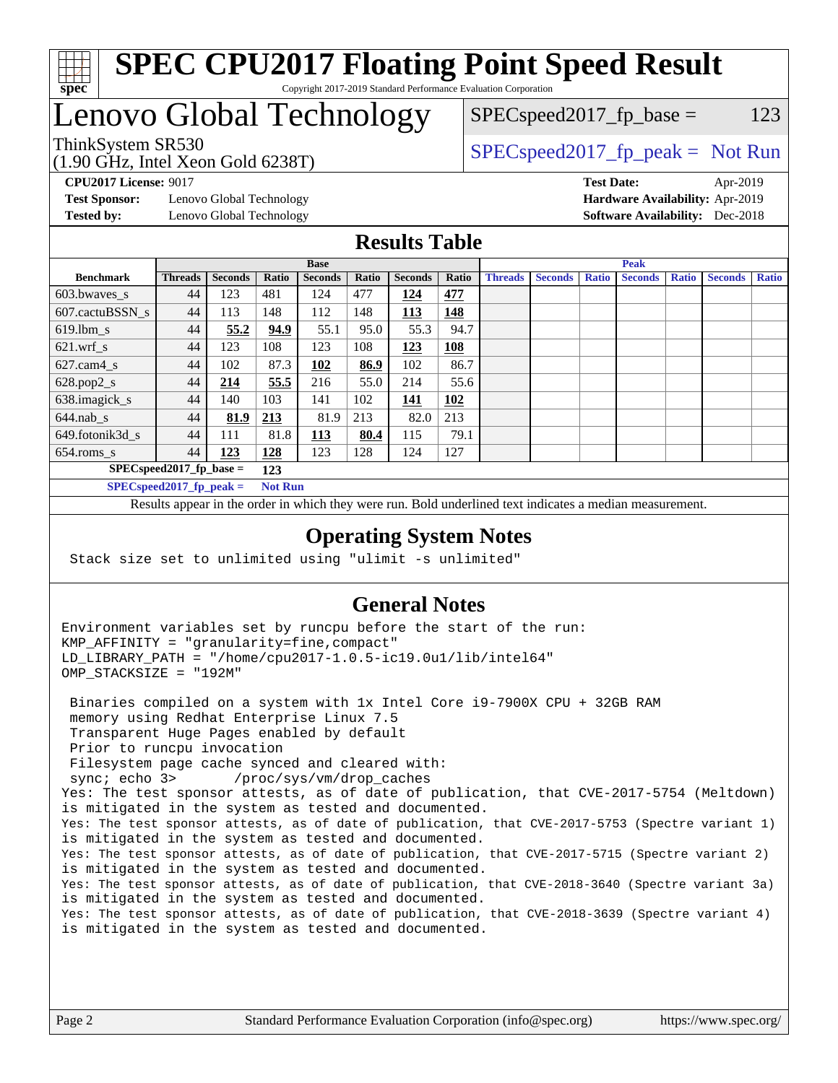

### **[SPEC CPU2017 Floating Point Speed Result](http://www.spec.org/auto/cpu2017/Docs/result-fields.html#SPECCPU2017FloatingPointSpeedResult)** Copyright 2017-2019 Standard Performance Evaluation Corporation

# Lenovo Global Technology

(1.90 GHz, Intel Xeon Gold 6238T)

ThinkSystem SR530<br>  $\begin{array}{r} \text{SPEC speed2017\_fp\_peak = Not Run} \\ \text{SPEC speed2017\_fp\_peak = Not Run} \end{array}$ 

 $SPEC speed2017_fp\_base = 123$ 

**[Test Sponsor:](http://www.spec.org/auto/cpu2017/Docs/result-fields.html#TestSponsor)** Lenovo Global Technology **[Hardware Availability:](http://www.spec.org/auto/cpu2017/Docs/result-fields.html#HardwareAvailability)** Apr-2019 **[Tested by:](http://www.spec.org/auto/cpu2017/Docs/result-fields.html#Testedby)** Lenovo Global Technology **[Software Availability:](http://www.spec.org/auto/cpu2017/Docs/result-fields.html#SoftwareAvailability)** Dec-2018

**[CPU2017 License:](http://www.spec.org/auto/cpu2017/Docs/result-fields.html#CPU2017License)** 9017 **[Test Date:](http://www.spec.org/auto/cpu2017/Docs/result-fields.html#TestDate)** Apr-2019

### **[Results Table](http://www.spec.org/auto/cpu2017/Docs/result-fields.html#ResultsTable)**

|                                   | <b>Base</b>                |                |                |                |       |                | <b>Peak</b> |                |                |              |                |              |                |              |
|-----------------------------------|----------------------------|----------------|----------------|----------------|-------|----------------|-------------|----------------|----------------|--------------|----------------|--------------|----------------|--------------|
| <b>Benchmark</b>                  | <b>Threads</b>             | <b>Seconds</b> | Ratio          | <b>Seconds</b> | Ratio | <b>Seconds</b> | Ratio       | <b>Threads</b> | <b>Seconds</b> | <b>Ratio</b> | <b>Seconds</b> | <b>Ratio</b> | <b>Seconds</b> | <b>Ratio</b> |
| 603.bwayes s                      | 44                         | 123            | 481            | 124            | 477   | 124            | 477         |                |                |              |                |              |                |              |
| 607.cactuBSSN s                   | 44                         | 113            | 148            | 112            | 148   | 113            | 148         |                |                |              |                |              |                |              |
| $619.$ lbm_s                      | 44                         | 55.2           | 94.9           | 55.1           | 95.0  | 55.3           | 94.7        |                |                |              |                |              |                |              |
| $621.wrf$ s                       | 44                         | 123            | 108            | 123            | 108   | 123            | 108         |                |                |              |                |              |                |              |
| $627$ .cam4 s                     | 44                         | 102            | 87.3           | 102            | 86.9  | 102            | 86.7        |                |                |              |                |              |                |              |
| $628.pop2_s$                      | 44                         | 214            | 55.5           | 216            | 55.0  | 214            | 55.6        |                |                |              |                |              |                |              |
| 638.imagick_s                     | 44                         | 140            | 103            | 141            | 102   | 141            | 102         |                |                |              |                |              |                |              |
| $644$ .nab s                      | 44                         | 81.9           | <u>213</u>     | 81.9           | 213   | 82.0           | 213         |                |                |              |                |              |                |              |
| 649.fotonik3d s                   | 44                         | 111            | 81.8           | 113            | 80.4  | 115            | 79.1        |                |                |              |                |              |                |              |
| $654$ .roms_s                     | 44                         | 123            | <b>128</b>     | 123            | 128   | 124            | 127         |                |                |              |                |              |                |              |
| $SPEC speed2017$ fp base =<br>123 |                            |                |                |                |       |                |             |                |                |              |                |              |                |              |
|                                   | SPECspeed 2017 fp peak $=$ |                | <b>Not Run</b> |                |       |                |             |                |                |              |                |              |                |              |

Results appear in the [order in which they were run.](http://www.spec.org/auto/cpu2017/Docs/result-fields.html#RunOrder) Bold underlined text [indicates a median measurement](http://www.spec.org/auto/cpu2017/Docs/result-fields.html#Median).

### **[Operating System Notes](http://www.spec.org/auto/cpu2017/Docs/result-fields.html#OperatingSystemNotes)**

Stack size set to unlimited using "ulimit -s unlimited"

### **[General Notes](http://www.spec.org/auto/cpu2017/Docs/result-fields.html#GeneralNotes)**

Environment variables set by runcpu before the start of the run: KMP\_AFFINITY = "granularity=fine,compact" LD\_LIBRARY\_PATH = "/home/cpu2017-1.0.5-ic19.0u1/lib/intel64" OMP\_STACKSIZE = "192M"

 Binaries compiled on a system with 1x Intel Core i9-7900X CPU + 32GB RAM memory using Redhat Enterprise Linux 7.5 Transparent Huge Pages enabled by default Prior to runcpu invocation Filesystem page cache synced and cleared with: sync; echo 3> /proc/sys/vm/drop\_caches Yes: The test sponsor attests, as of date of publication, that CVE-2017-5754 (Meltdown) is mitigated in the system as tested and documented. Yes: The test sponsor attests, as of date of publication, that CVE-2017-5753 (Spectre variant 1) is mitigated in the system as tested and documented. Yes: The test sponsor attests, as of date of publication, that CVE-2017-5715 (Spectre variant 2) is mitigated in the system as tested and documented. Yes: The test sponsor attests, as of date of publication, that CVE-2018-3640 (Spectre variant 3a) is mitigated in the system as tested and documented. Yes: The test sponsor attests, as of date of publication, that CVE-2018-3639 (Spectre variant 4) is mitigated in the system as tested and documented.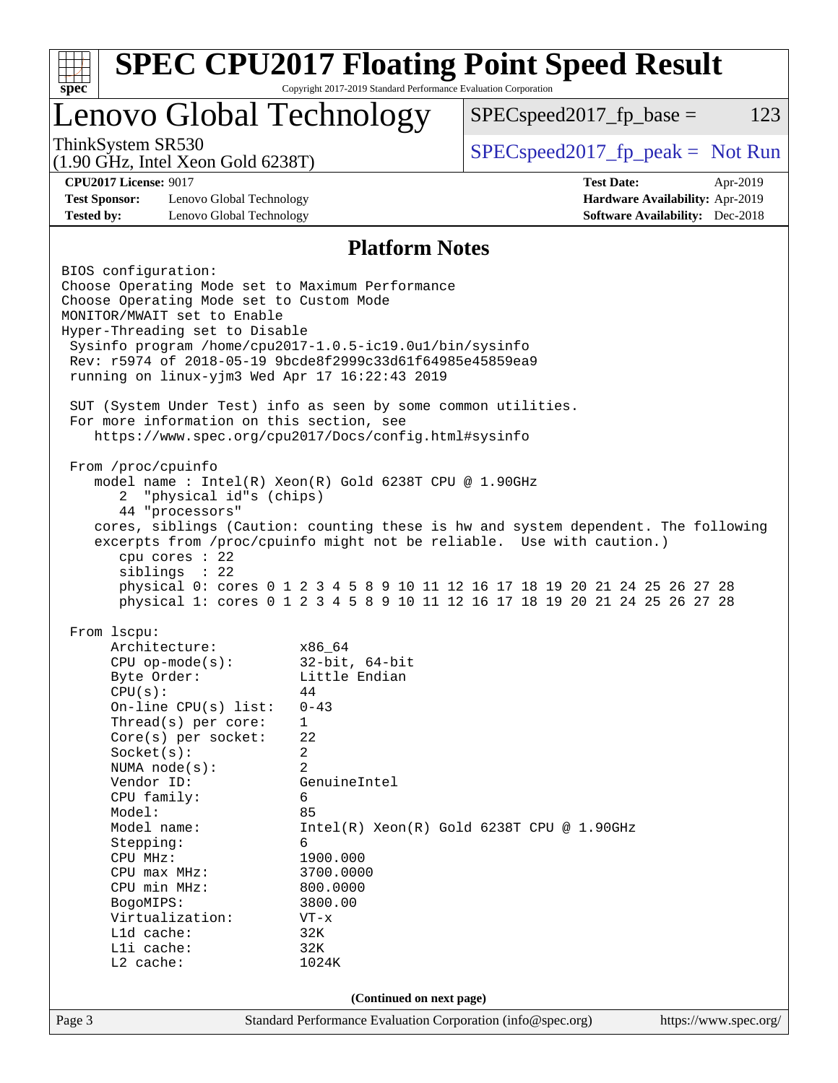| Copyright 2017-2019 Standard Performance Evaluation Corporation<br>$spec^*$      |                          |                                                                                    |                                                                                                                                                            |                                        |          |  |  |
|----------------------------------------------------------------------------------|--------------------------|------------------------------------------------------------------------------------|------------------------------------------------------------------------------------------------------------------------------------------------------------|----------------------------------------|----------|--|--|
|                                                                                  |                          | Lenovo Global Technology                                                           | $SPEC speed2017fp base =$                                                                                                                                  |                                        | 123      |  |  |
| ThinkSystem SR530<br>$(1.90 \text{ GHz}, \text{Intel Xeon Gold } 6238 \text{T})$ |                          |                                                                                    | $SPEC speed2017fr peak = Not Run$                                                                                                                          |                                        |          |  |  |
| <b>CPU2017 License: 9017</b>                                                     |                          |                                                                                    | <b>Test Date:</b>                                                                                                                                          |                                        | Apr-2019 |  |  |
| <b>Test Sponsor:</b>                                                             | Lenovo Global Technology |                                                                                    |                                                                                                                                                            | Hardware Availability: Apr-2019        |          |  |  |
| <b>Tested by:</b>                                                                | Lenovo Global Technology |                                                                                    |                                                                                                                                                            | <b>Software Availability:</b> Dec-2018 |          |  |  |
| <b>Platform Notes</b>                                                            |                          |                                                                                    |                                                                                                                                                            |                                        |          |  |  |
| BIOS configuration:                                                              |                          |                                                                                    |                                                                                                                                                            |                                        |          |  |  |
|                                                                                  |                          | Choose Operating Mode set to Maximum Performance                                   |                                                                                                                                                            |                                        |          |  |  |
| Choose Operating Mode set to Custom Mode                                         |                          |                                                                                    |                                                                                                                                                            |                                        |          |  |  |
| MONITOR/MWAIT set to Enable                                                      |                          |                                                                                    |                                                                                                                                                            |                                        |          |  |  |
| Hyper-Threading set to Disable                                                   |                          |                                                                                    |                                                                                                                                                            |                                        |          |  |  |
|                                                                                  |                          | Sysinfo program /home/cpu2017-1.0.5-ic19.0ul/bin/sysinfo                           |                                                                                                                                                            |                                        |          |  |  |
|                                                                                  |                          | Rev: r5974 of 2018-05-19 9bcde8f2999c33d61f64985e45859ea9                          |                                                                                                                                                            |                                        |          |  |  |
|                                                                                  |                          | running on linux-yjm3 Wed Apr 17 16:22:43 2019                                     |                                                                                                                                                            |                                        |          |  |  |
|                                                                                  |                          | SUT (System Under Test) info as seen by some common utilities.                     |                                                                                                                                                            |                                        |          |  |  |
| For more information on this section, see                                        |                          |                                                                                    |                                                                                                                                                            |                                        |          |  |  |
|                                                                                  |                          | https://www.spec.org/cpu2017/Docs/config.html#sysinfo                              |                                                                                                                                                            |                                        |          |  |  |
|                                                                                  |                          |                                                                                    |                                                                                                                                                            |                                        |          |  |  |
| From /proc/cpuinfo                                                               |                          |                                                                                    |                                                                                                                                                            |                                        |          |  |  |
|                                                                                  |                          | model name: $Intel(R)$ Xeon $(R)$ Gold 6238T CPU @ 1.90GHz                         |                                                                                                                                                            |                                        |          |  |  |
| 2                                                                                | "physical id"s (chips)   |                                                                                    |                                                                                                                                                            |                                        |          |  |  |
| 44 "processors"                                                                  |                          |                                                                                    |                                                                                                                                                            |                                        |          |  |  |
|                                                                                  |                          | cores, siblings (Caution: counting these is hw and system dependent. The following |                                                                                                                                                            |                                        |          |  |  |
|                                                                                  |                          |                                                                                    |                                                                                                                                                            |                                        |          |  |  |
|                                                                                  |                          |                                                                                    | excerpts from /proc/cpuinfo might not be reliable. Use with caution.)                                                                                      |                                        |          |  |  |
| cpu cores : 22                                                                   |                          |                                                                                    |                                                                                                                                                            |                                        |          |  |  |
| siblings : 22                                                                    |                          |                                                                                    |                                                                                                                                                            |                                        |          |  |  |
|                                                                                  |                          |                                                                                    | physical 0: cores 0 1 2 3 4 5 8 9 10 11 12 16 17 18 19 20 21 24 25 26 27 28<br>physical 1: cores 0 1 2 3 4 5 8 9 10 11 12 16 17 18 19 20 21 24 25 26 27 28 |                                        |          |  |  |
| From 1scpu:                                                                      |                          |                                                                                    |                                                                                                                                                            |                                        |          |  |  |
| Architecture:                                                                    |                          | x86_64                                                                             |                                                                                                                                                            |                                        |          |  |  |
| $CPU$ op-mode( $s$ ):                                                            |                          | $32$ -bit, $64$ -bit                                                               |                                                                                                                                                            |                                        |          |  |  |
| Byte Order:                                                                      |                          | Little Endian                                                                      |                                                                                                                                                            |                                        |          |  |  |
| CPU(s):                                                                          |                          | 44                                                                                 |                                                                                                                                                            |                                        |          |  |  |
| On-line CPU(s) list:                                                             |                          | $0 - 43$                                                                           |                                                                                                                                                            |                                        |          |  |  |
| Thread( $s$ ) per core:                                                          |                          | $\mathbf 1$                                                                        |                                                                                                                                                            |                                        |          |  |  |
| Core(s) per socket:                                                              |                          | 22                                                                                 |                                                                                                                                                            |                                        |          |  |  |
| Socket(s):                                                                       |                          | 2                                                                                  |                                                                                                                                                            |                                        |          |  |  |
| NUMA $node(s):$                                                                  |                          | 2                                                                                  |                                                                                                                                                            |                                        |          |  |  |
| Vendor ID:                                                                       |                          | GenuineIntel                                                                       |                                                                                                                                                            |                                        |          |  |  |
| CPU family:                                                                      |                          | 6                                                                                  |                                                                                                                                                            |                                        |          |  |  |
| Model:                                                                           |                          | 85                                                                                 |                                                                                                                                                            |                                        |          |  |  |
| Model name:                                                                      |                          | 6                                                                                  | Intel(R) Xeon(R) Gold 6238T CPU @ 1.90GHz                                                                                                                  |                                        |          |  |  |
| Stepping:<br>CPU MHz:                                                            |                          | 1900.000                                                                           |                                                                                                                                                            |                                        |          |  |  |
| CPU max MHz:                                                                     |                          | 3700.0000                                                                          |                                                                                                                                                            |                                        |          |  |  |
| CPU min MHz:                                                                     |                          | 800.0000                                                                           |                                                                                                                                                            |                                        |          |  |  |
| BogoMIPS:                                                                        |                          | 3800.00                                                                            |                                                                                                                                                            |                                        |          |  |  |
| Virtualization:                                                                  |                          | $VT - x$                                                                           |                                                                                                                                                            |                                        |          |  |  |
| L1d cache:                                                                       |                          | 32K                                                                                |                                                                                                                                                            |                                        |          |  |  |
| Lli cache:                                                                       |                          | 32K                                                                                |                                                                                                                                                            |                                        |          |  |  |
| L2 cache:                                                                        |                          | 1024K                                                                              |                                                                                                                                                            |                                        |          |  |  |
|                                                                                  |                          | (Continued on next page)                                                           |                                                                                                                                                            |                                        |          |  |  |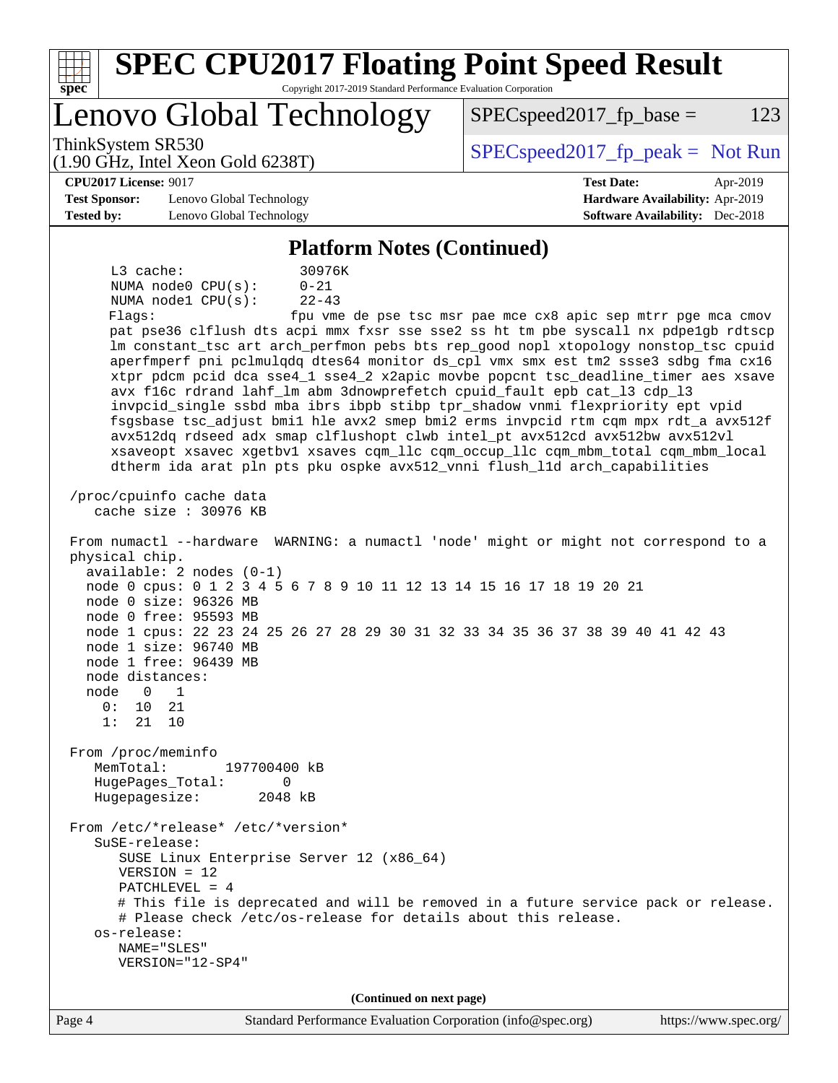| <b>SPEC CPU2017 Floating Point Speed Result</b><br>Copyright 2017-2019 Standard Performance Evaluation Corporation<br>$s\overline{p}\overline{e}\overline{c}$                                                                                                                                                                                                                                                                                                                                                                                                                                                                                                                                                                                                                                                                                                                                                                                                                                                                                                                                                                                                                                                                                                                                                                                                                                                                                                                                                                                                                                                                                                                                                                                                                                                                                                                                                                                                                                   |                                                                           |  |  |  |  |  |
|-------------------------------------------------------------------------------------------------------------------------------------------------------------------------------------------------------------------------------------------------------------------------------------------------------------------------------------------------------------------------------------------------------------------------------------------------------------------------------------------------------------------------------------------------------------------------------------------------------------------------------------------------------------------------------------------------------------------------------------------------------------------------------------------------------------------------------------------------------------------------------------------------------------------------------------------------------------------------------------------------------------------------------------------------------------------------------------------------------------------------------------------------------------------------------------------------------------------------------------------------------------------------------------------------------------------------------------------------------------------------------------------------------------------------------------------------------------------------------------------------------------------------------------------------------------------------------------------------------------------------------------------------------------------------------------------------------------------------------------------------------------------------------------------------------------------------------------------------------------------------------------------------------------------------------------------------------------------------------------------------|---------------------------------------------------------------------------|--|--|--|--|--|
| Lenovo Global Technology                                                                                                                                                                                                                                                                                                                                                                                                                                                                                                                                                                                                                                                                                                                                                                                                                                                                                                                                                                                                                                                                                                                                                                                                                                                                                                                                                                                                                                                                                                                                                                                                                                                                                                                                                                                                                                                                                                                                                                        | $SPEC speed2017fp base =$<br>123                                          |  |  |  |  |  |
| ThinkSystem SR530<br>(1.90 GHz, Intel Xeon Gold 6238T)                                                                                                                                                                                                                                                                                                                                                                                                                                                                                                                                                                                                                                                                                                                                                                                                                                                                                                                                                                                                                                                                                                                                                                                                                                                                                                                                                                                                                                                                                                                                                                                                                                                                                                                                                                                                                                                                                                                                          | $SPEC speed2017fr peak = Not Run$                                         |  |  |  |  |  |
| <b>CPU2017 License: 9017</b>                                                                                                                                                                                                                                                                                                                                                                                                                                                                                                                                                                                                                                                                                                                                                                                                                                                                                                                                                                                                                                                                                                                                                                                                                                                                                                                                                                                                                                                                                                                                                                                                                                                                                                                                                                                                                                                                                                                                                                    | <b>Test Date:</b><br>Apr-2019                                             |  |  |  |  |  |
| <b>Test Sponsor:</b><br>Lenovo Global Technology<br><b>Tested by:</b><br>Lenovo Global Technology                                                                                                                                                                                                                                                                                                                                                                                                                                                                                                                                                                                                                                                                                                                                                                                                                                                                                                                                                                                                                                                                                                                                                                                                                                                                                                                                                                                                                                                                                                                                                                                                                                                                                                                                                                                                                                                                                               | Hardware Availability: Apr-2019<br><b>Software Availability:</b> Dec-2018 |  |  |  |  |  |
| <b>Platform Notes (Continued)</b>                                                                                                                                                                                                                                                                                                                                                                                                                                                                                                                                                                                                                                                                                                                                                                                                                                                                                                                                                                                                                                                                                                                                                                                                                                                                                                                                                                                                                                                                                                                                                                                                                                                                                                                                                                                                                                                                                                                                                               |                                                                           |  |  |  |  |  |
| 30976K<br>L3 cache:<br>NUMA node0 CPU(s):<br>$0 - 21$<br>$22 - 43$<br>NUMA nodel CPU(s):<br>Flags:<br>pat pse36 clflush dts acpi mmx fxsr sse sse2 ss ht tm pbe syscall nx pdpelgb rdtscp<br>lm constant_tsc art arch_perfmon pebs bts rep_good nopl xtopology nonstop_tsc cpuid<br>aperfmperf pni pclmulqdq dtes64 monitor ds_cpl vmx smx est tm2 ssse3 sdbg fma cx16<br>xtpr pdcm pcid dca sse4_1 sse4_2 x2apic movbe popcnt tsc_deadline_timer aes xsave<br>avx f16c rdrand lahf_lm abm 3dnowprefetch cpuid_fault epb cat_13 cdp_13<br>invpcid_single ssbd mba ibrs ibpb stibp tpr_shadow vnmi flexpriority ept vpid<br>fsgsbase tsc_adjust bmil hle avx2 smep bmi2 erms invpcid rtm cqm mpx rdt_a avx512f<br>avx512dq rdseed adx smap clflushopt clwb intel_pt avx512cd avx512bw avx512vl<br>xsaveopt xsavec xgetbvl xsaves cqm_llc cqm_occup_llc cqm_mbm_total cqm_mbm_local<br>dtherm ida arat pln pts pku ospke avx512_vnni flush_lld arch_capabilities<br>/proc/cpuinfo cache data<br>cache size $: 30976$ KB<br>From numactl --hardware WARNING: a numactl 'node' might or might not correspond to a<br>physical chip.<br>$available: 2 nodes (0-1)$<br>node 0 cpus: 0 1 2 3 4 5 6 7 8 9 10 11 12 13 14 15 16 17 18 19 20 21<br>node 0 size: 96326 MB<br>node 0 free: 95593 MB<br>node 1 cpus: 22 23 24 25 26 27 28 29 30 31 32 33 34 35 36 37 38 39 40 41 42 43<br>node 1 size: 96740 MB<br>node 1 free: 96439 MB<br>node distances:<br>node<br>$\overline{0}$<br>1<br>0: 10<br>21<br>1: 21 10<br>From /proc/meminfo<br>MemTotal:<br>197700400 kB<br>HugePages_Total:<br>0<br>Hugepagesize:<br>2048 kB<br>From /etc/*release* /etc/*version*<br>SuSE-release:<br>SUSE Linux Enterprise Server 12 (x86_64)<br>$VERSION = 12$<br>PATCHLEVEL = $4$<br># This file is deprecated and will be removed in a future service pack or release.<br># Please check /etc/os-release for details about this release.<br>os-release:<br>NAME="SLES"<br>VERSION="12-SP4"<br>(Continued on next page) | fpu vme de pse tsc msr pae mce cx8 apic sep mtrr pge mca cmov             |  |  |  |  |  |
| Standard Darformanae Evaluation Comparation (info@enee are)                                                                                                                                                                                                                                                                                                                                                                                                                                                                                                                                                                                                                                                                                                                                                                                                                                                                                                                                                                                                                                                                                                                                                                                                                                                                                                                                                                                                                                                                                                                                                                                                                                                                                                                                                                                                                                                                                                                                     |                                                                           |  |  |  |  |  |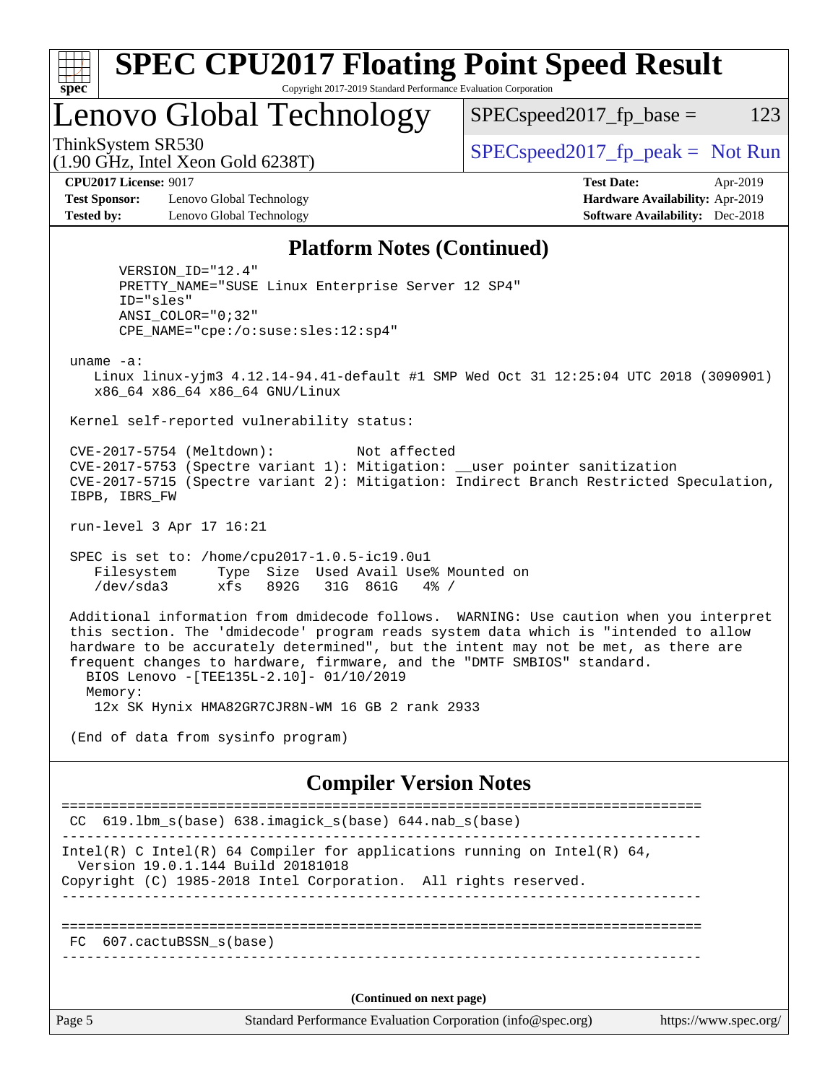| x<br>t.<br>L |  |  |  |  |  |
|--------------|--|--|--|--|--|

### **[SPEC CPU2017 Floating Point Speed Result](http://www.spec.org/auto/cpu2017/Docs/result-fields.html#SPECCPU2017FloatingPointSpeedResult)** Copyright 2017-2019 Standard Performance Evaluation Corporation

# Lenovo Global Technology

 $SPEC speed2017_fp\_base = 123$ 

(1.90 GHz, Intel Xeon Gold 6238T)

ThinkSystem SR530<br>  $\begin{array}{r} \text{SPEC speed2017\_fp\_peak = Not Run} \\ \text{SPEC speed2017\_fp\_peak = Not Run} \end{array}$ 

**[Test Sponsor:](http://www.spec.org/auto/cpu2017/Docs/result-fields.html#TestSponsor)** Lenovo Global Technology **[Hardware Availability:](http://www.spec.org/auto/cpu2017/Docs/result-fields.html#HardwareAvailability)** Apr-2019 **[Tested by:](http://www.spec.org/auto/cpu2017/Docs/result-fields.html#Testedby)** Lenovo Global Technology **[Software Availability:](http://www.spec.org/auto/cpu2017/Docs/result-fields.html#SoftwareAvailability)** Dec-2018

**[CPU2017 License:](http://www.spec.org/auto/cpu2017/Docs/result-fields.html#CPU2017License)** 9017 **[Test Date:](http://www.spec.org/auto/cpu2017/Docs/result-fields.html#TestDate)** Apr-2019

### **[Platform Notes \(Continued\)](http://www.spec.org/auto/cpu2017/Docs/result-fields.html#PlatformNotes)**

 VERSION\_ID="12.4" PRETTY\_NAME="SUSE Linux Enterprise Server 12 SP4" ID="sles" ANSI\_COLOR="0;32" CPE\_NAME="cpe:/o:suse:sles:12:sp4"

uname -a:

 Linux linux-yjm3 4.12.14-94.41-default #1 SMP Wed Oct 31 12:25:04 UTC 2018 (3090901) x86\_64 x86\_64 x86\_64 GNU/Linux

Kernel self-reported vulnerability status:

 CVE-2017-5754 (Meltdown): Not affected CVE-2017-5753 (Spectre variant 1): Mitigation: \_\_user pointer sanitization CVE-2017-5715 (Spectre variant 2): Mitigation: Indirect Branch Restricted Speculation, IBPB, IBRS\_FW

run-level 3 Apr 17 16:21

 SPEC is set to: /home/cpu2017-1.0.5-ic19.0u1 Filesystem Type Size Used Avail Use% Mounted on /dev/sda3 xfs 892G 31G 861G 4% /

 Additional information from dmidecode follows. WARNING: Use caution when you interpret this section. The 'dmidecode' program reads system data which is "intended to allow hardware to be accurately determined", but the intent may not be met, as there are frequent changes to hardware, firmware, and the "DMTF SMBIOS" standard. BIOS Lenovo -[TEE135L-2.10]- 01/10/2019 Memory:

12x SK Hynix HMA82GR7CJR8N-WM 16 GB 2 rank 2933

(End of data from sysinfo program)

### **[Compiler Version Notes](http://www.spec.org/auto/cpu2017/Docs/result-fields.html#CompilerVersionNotes)**

Page 5 Standard Performance Evaluation Corporation [\(info@spec.org\)](mailto:info@spec.org) <https://www.spec.org/> ============================================================================== CC 619.lbm\_s(base) 638.imagick\_s(base) 644.nab\_s(base) ------------------------------------------------------------------------------ Intel(R) C Intel(R) 64 Compiler for applications running on Intel(R)  $64$ , Version 19.0.1.144 Build 20181018 Copyright (C) 1985-2018 Intel Corporation. All rights reserved. ------------------------------------------------------------------------------ ============================================================================== FC 607.cactuBSSN\_s(base) ------------------------------------------------------------------------------ **(Continued on next page)**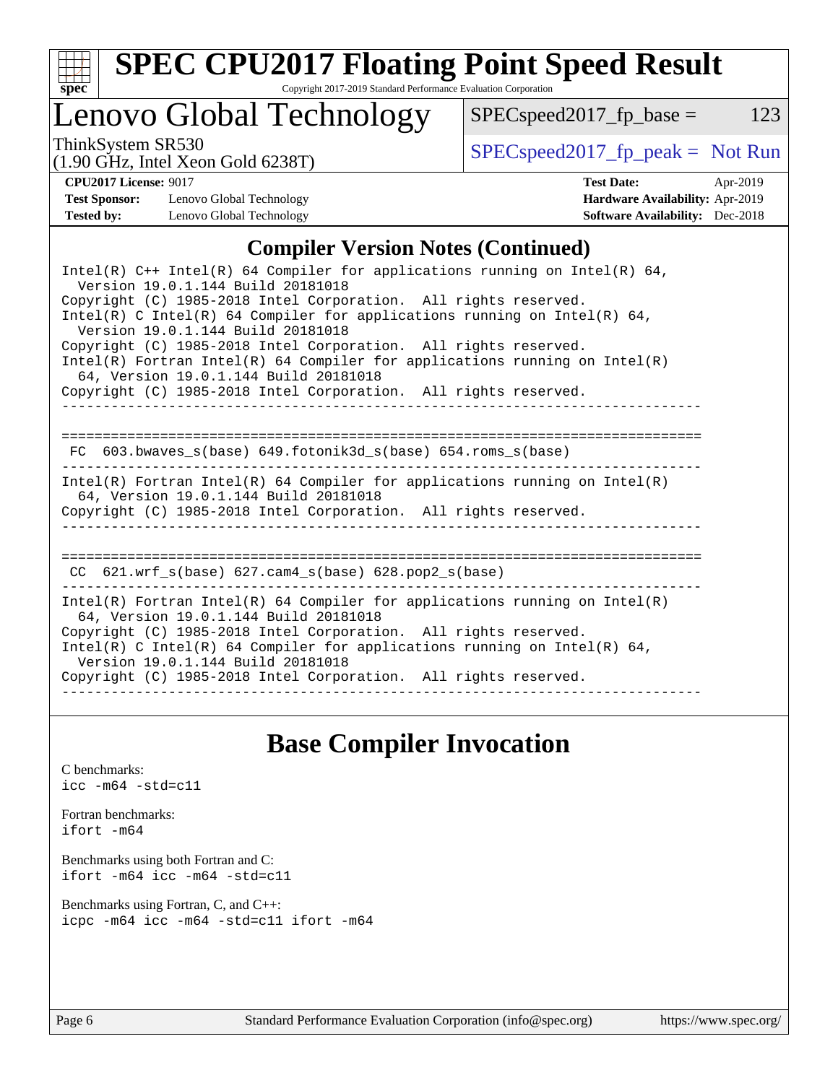

# **[SPEC CPU2017 Floating Point Speed Result](http://www.spec.org/auto/cpu2017/Docs/result-fields.html#SPECCPU2017FloatingPointSpeedResult)**

Copyright 2017-2019 Standard Performance Evaluation Corporation

# Lenovo Global Technology

ThinkSystem SR530<br>(1.00 GHz, Intel Year Gold 6238T) [SPECspeed2017\\_fp\\_peak =](http://www.spec.org/auto/cpu2017/Docs/result-fields.html#SPECspeed2017fppeak) Not Run

 $SPEC speed2017_fp\_base = 123$ 

### (1.90 GHz, Intel Xeon Gold 6238T)

**[CPU2017 License:](http://www.spec.org/auto/cpu2017/Docs/result-fields.html#CPU2017License)** 9017 **[Test Date:](http://www.spec.org/auto/cpu2017/Docs/result-fields.html#TestDate)** Apr-2019 **[Test Sponsor:](http://www.spec.org/auto/cpu2017/Docs/result-fields.html#TestSponsor)** Lenovo Global Technology **[Hardware Availability:](http://www.spec.org/auto/cpu2017/Docs/result-fields.html#HardwareAvailability)** Apr-2019 **[Tested by:](http://www.spec.org/auto/cpu2017/Docs/result-fields.html#Testedby)** Lenovo Global Technology **[Software Availability:](http://www.spec.org/auto/cpu2017/Docs/result-fields.html#SoftwareAvailability)** Dec-2018

### **[Compiler Version Notes \(Continued\)](http://www.spec.org/auto/cpu2017/Docs/result-fields.html#CompilerVersionNotes)**

| Intel(R) $C++$ Intel(R) 64 Compiler for applications running on Intel(R) 64,<br>Version 19.0.1.144 Build 20181018                                                                                                                                                                                                                                                          |
|----------------------------------------------------------------------------------------------------------------------------------------------------------------------------------------------------------------------------------------------------------------------------------------------------------------------------------------------------------------------------|
| Copyright (C) 1985-2018 Intel Corporation. All rights reserved.<br>Intel(R) C Intel(R) 64 Compiler for applications running on Intel(R) 64,<br>Version 19.0.1.144 Build 20181018                                                                                                                                                                                           |
| Copyright (C) 1985-2018 Intel Corporation. All rights reserved.<br>Intel(R) Fortran Intel(R) 64 Compiler for applications running on Intel(R)<br>64, Version 19.0.1.144 Build 20181018                                                                                                                                                                                     |
| Copyright (C) 1985-2018 Intel Corporation. All rights reserved.                                                                                                                                                                                                                                                                                                            |
| 603.bwaves s(base) 649.fotonik3d s(base) 654.roms s(base)<br>FC.                                                                                                                                                                                                                                                                                                           |
| Intel(R) Fortran Intel(R) 64 Compiler for applications running on Intel(R)<br>64, Version 19.0.1.144 Build 20181018<br>Copyright (C) 1985-2018 Intel Corporation. All rights reserved.                                                                                                                                                                                     |
| CC $621.wrf$ s(base) $627.cam4$ s(base) $628.pop2$ s(base)                                                                                                                                                                                                                                                                                                                 |
| Intel(R) Fortran Intel(R) 64 Compiler for applications running on Intel(R)<br>64, Version 19.0.1.144 Build 20181018<br>Copyright (C) 1985-2018 Intel Corporation. All rights reserved.<br>Intel(R) C Intel(R) 64 Compiler for applications running on Intel(R) 64,<br>Version 19.0.1.144 Build 20181018<br>Copyright (C) 1985-2018 Intel Corporation. All rights reserved. |
|                                                                                                                                                                                                                                                                                                                                                                            |

## **[Base Compiler Invocation](http://www.spec.org/auto/cpu2017/Docs/result-fields.html#BaseCompilerInvocation)**

[C benchmarks](http://www.spec.org/auto/cpu2017/Docs/result-fields.html#Cbenchmarks): [icc -m64 -std=c11](http://www.spec.org/cpu2017/results/res2019q2/cpu2017-20190429-13292.flags.html#user_CCbase_intel_icc_64bit_c11_33ee0cdaae7deeeab2a9725423ba97205ce30f63b9926c2519791662299b76a0318f32ddfffdc46587804de3178b4f9328c46fa7c2b0cd779d7a61945c91cd35)

[Fortran benchmarks](http://www.spec.org/auto/cpu2017/Docs/result-fields.html#Fortranbenchmarks): [ifort -m64](http://www.spec.org/cpu2017/results/res2019q2/cpu2017-20190429-13292.flags.html#user_FCbase_intel_ifort_64bit_24f2bb282fbaeffd6157abe4f878425411749daecae9a33200eee2bee2fe76f3b89351d69a8130dd5949958ce389cf37ff59a95e7a40d588e8d3a57e0c3fd751)

[Benchmarks using both Fortran and C](http://www.spec.org/auto/cpu2017/Docs/result-fields.html#BenchmarksusingbothFortranandC): [ifort -m64](http://www.spec.org/cpu2017/results/res2019q2/cpu2017-20190429-13292.flags.html#user_CC_FCbase_intel_ifort_64bit_24f2bb282fbaeffd6157abe4f878425411749daecae9a33200eee2bee2fe76f3b89351d69a8130dd5949958ce389cf37ff59a95e7a40d588e8d3a57e0c3fd751) [icc -m64 -std=c11](http://www.spec.org/cpu2017/results/res2019q2/cpu2017-20190429-13292.flags.html#user_CC_FCbase_intel_icc_64bit_c11_33ee0cdaae7deeeab2a9725423ba97205ce30f63b9926c2519791662299b76a0318f32ddfffdc46587804de3178b4f9328c46fa7c2b0cd779d7a61945c91cd35)

[Benchmarks using Fortran, C, and C++:](http://www.spec.org/auto/cpu2017/Docs/result-fields.html#BenchmarksusingFortranCandCXX) [icpc -m64](http://www.spec.org/cpu2017/results/res2019q2/cpu2017-20190429-13292.flags.html#user_CC_CXX_FCbase_intel_icpc_64bit_4ecb2543ae3f1412ef961e0650ca070fec7b7afdcd6ed48761b84423119d1bf6bdf5cad15b44d48e7256388bc77273b966e5eb805aefd121eb22e9299b2ec9d9) [icc -m64 -std=c11](http://www.spec.org/cpu2017/results/res2019q2/cpu2017-20190429-13292.flags.html#user_CC_CXX_FCbase_intel_icc_64bit_c11_33ee0cdaae7deeeab2a9725423ba97205ce30f63b9926c2519791662299b76a0318f32ddfffdc46587804de3178b4f9328c46fa7c2b0cd779d7a61945c91cd35) [ifort -m64](http://www.spec.org/cpu2017/results/res2019q2/cpu2017-20190429-13292.flags.html#user_CC_CXX_FCbase_intel_ifort_64bit_24f2bb282fbaeffd6157abe4f878425411749daecae9a33200eee2bee2fe76f3b89351d69a8130dd5949958ce389cf37ff59a95e7a40d588e8d3a57e0c3fd751)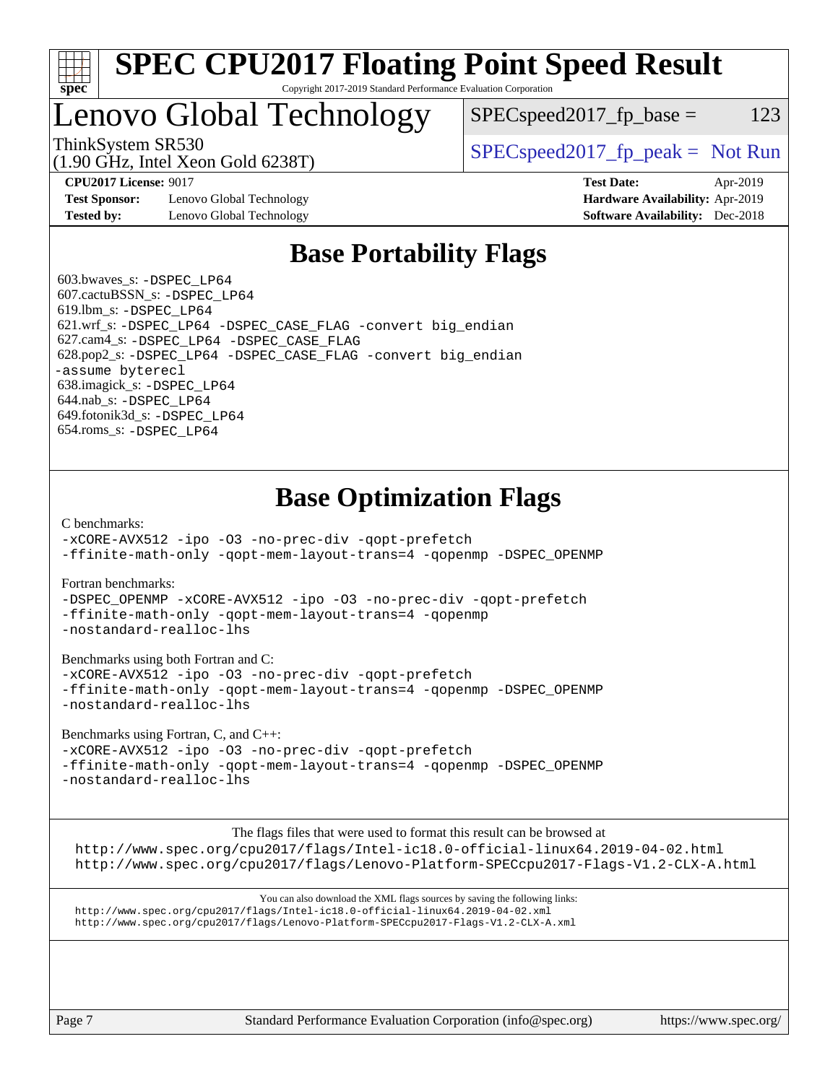

### **[SPEC CPU2017 Floating Point Speed Result](http://www.spec.org/auto/cpu2017/Docs/result-fields.html#SPECCPU2017FloatingPointSpeedResult)** Copyright 2017-2019 Standard Performance Evaluation Corporation

# Lenovo Global Technology

ThinkSystem SR530  $SPEC speed2017$  [p\_peak = Not Run  $SPEC speed2017_fp\_base = 123$ 

(1.90 GHz, Intel Xeon Gold 6238T)

**[Test Sponsor:](http://www.spec.org/auto/cpu2017/Docs/result-fields.html#TestSponsor)** Lenovo Global Technology **[Hardware Availability:](http://www.spec.org/auto/cpu2017/Docs/result-fields.html#HardwareAvailability)** Apr-2019 **[Tested by:](http://www.spec.org/auto/cpu2017/Docs/result-fields.html#Testedby)** Lenovo Global Technology **[Software Availability:](http://www.spec.org/auto/cpu2017/Docs/result-fields.html#SoftwareAvailability)** Dec-2018

**[CPU2017 License:](http://www.spec.org/auto/cpu2017/Docs/result-fields.html#CPU2017License)** 9017 **[Test Date:](http://www.spec.org/auto/cpu2017/Docs/result-fields.html#TestDate)** Apr-2019

# **[Base Portability Flags](http://www.spec.org/auto/cpu2017/Docs/result-fields.html#BasePortabilityFlags)**

 603.bwaves\_s: [-DSPEC\\_LP64](http://www.spec.org/cpu2017/results/res2019q2/cpu2017-20190429-13292.flags.html#suite_basePORTABILITY603_bwaves_s_DSPEC_LP64) 607.cactuBSSN\_s: [-DSPEC\\_LP64](http://www.spec.org/cpu2017/results/res2019q2/cpu2017-20190429-13292.flags.html#suite_basePORTABILITY607_cactuBSSN_s_DSPEC_LP64) 619.lbm\_s: [-DSPEC\\_LP64](http://www.spec.org/cpu2017/results/res2019q2/cpu2017-20190429-13292.flags.html#suite_basePORTABILITY619_lbm_s_DSPEC_LP64) 621.wrf\_s: [-DSPEC\\_LP64](http://www.spec.org/cpu2017/results/res2019q2/cpu2017-20190429-13292.flags.html#suite_basePORTABILITY621_wrf_s_DSPEC_LP64) [-DSPEC\\_CASE\\_FLAG](http://www.spec.org/cpu2017/results/res2019q2/cpu2017-20190429-13292.flags.html#b621.wrf_s_baseCPORTABILITY_DSPEC_CASE_FLAG) [-convert big\\_endian](http://www.spec.org/cpu2017/results/res2019q2/cpu2017-20190429-13292.flags.html#user_baseFPORTABILITY621_wrf_s_convert_big_endian_c3194028bc08c63ac5d04de18c48ce6d347e4e562e8892b8bdbdc0214820426deb8554edfa529a3fb25a586e65a3d812c835984020483e7e73212c4d31a38223) 627.cam4\_s: [-DSPEC\\_LP64](http://www.spec.org/cpu2017/results/res2019q2/cpu2017-20190429-13292.flags.html#suite_basePORTABILITY627_cam4_s_DSPEC_LP64) [-DSPEC\\_CASE\\_FLAG](http://www.spec.org/cpu2017/results/res2019q2/cpu2017-20190429-13292.flags.html#b627.cam4_s_baseCPORTABILITY_DSPEC_CASE_FLAG) 628.pop2\_s: [-DSPEC\\_LP64](http://www.spec.org/cpu2017/results/res2019q2/cpu2017-20190429-13292.flags.html#suite_basePORTABILITY628_pop2_s_DSPEC_LP64) [-DSPEC\\_CASE\\_FLAG](http://www.spec.org/cpu2017/results/res2019q2/cpu2017-20190429-13292.flags.html#b628.pop2_s_baseCPORTABILITY_DSPEC_CASE_FLAG) [-convert big\\_endian](http://www.spec.org/cpu2017/results/res2019q2/cpu2017-20190429-13292.flags.html#user_baseFPORTABILITY628_pop2_s_convert_big_endian_c3194028bc08c63ac5d04de18c48ce6d347e4e562e8892b8bdbdc0214820426deb8554edfa529a3fb25a586e65a3d812c835984020483e7e73212c4d31a38223) [-assume byterecl](http://www.spec.org/cpu2017/results/res2019q2/cpu2017-20190429-13292.flags.html#user_baseFPORTABILITY628_pop2_s_assume_byterecl_7e47d18b9513cf18525430bbf0f2177aa9bf368bc7a059c09b2c06a34b53bd3447c950d3f8d6c70e3faf3a05c8557d66a5798b567902e8849adc142926523472) 638.imagick\_s: [-DSPEC\\_LP64](http://www.spec.org/cpu2017/results/res2019q2/cpu2017-20190429-13292.flags.html#suite_basePORTABILITY638_imagick_s_DSPEC_LP64) 644.nab\_s: [-DSPEC\\_LP64](http://www.spec.org/cpu2017/results/res2019q2/cpu2017-20190429-13292.flags.html#suite_basePORTABILITY644_nab_s_DSPEC_LP64) 649.fotonik3d\_s: [-DSPEC\\_LP64](http://www.spec.org/cpu2017/results/res2019q2/cpu2017-20190429-13292.flags.html#suite_basePORTABILITY649_fotonik3d_s_DSPEC_LP64) 654.roms\_s: [-DSPEC\\_LP64](http://www.spec.org/cpu2017/results/res2019q2/cpu2017-20190429-13292.flags.html#suite_basePORTABILITY654_roms_s_DSPEC_LP64)

# **[Base Optimization Flags](http://www.spec.org/auto/cpu2017/Docs/result-fields.html#BaseOptimizationFlags)**

[C benchmarks](http://www.spec.org/auto/cpu2017/Docs/result-fields.html#Cbenchmarks):

[-xCORE-AVX512](http://www.spec.org/cpu2017/results/res2019q2/cpu2017-20190429-13292.flags.html#user_CCbase_f-xCORE-AVX512) [-ipo](http://www.spec.org/cpu2017/results/res2019q2/cpu2017-20190429-13292.flags.html#user_CCbase_f-ipo) [-O3](http://www.spec.org/cpu2017/results/res2019q2/cpu2017-20190429-13292.flags.html#user_CCbase_f-O3) [-no-prec-div](http://www.spec.org/cpu2017/results/res2019q2/cpu2017-20190429-13292.flags.html#user_CCbase_f-no-prec-div) [-qopt-prefetch](http://www.spec.org/cpu2017/results/res2019q2/cpu2017-20190429-13292.flags.html#user_CCbase_f-qopt-prefetch) [-ffinite-math-only](http://www.spec.org/cpu2017/results/res2019q2/cpu2017-20190429-13292.flags.html#user_CCbase_f_finite_math_only_cb91587bd2077682c4b38af759c288ed7c732db004271a9512da14a4f8007909a5f1427ecbf1a0fb78ff2a814402c6114ac565ca162485bbcae155b5e4258871) [-qopt-mem-layout-trans=4](http://www.spec.org/cpu2017/results/res2019q2/cpu2017-20190429-13292.flags.html#user_CCbase_f-qopt-mem-layout-trans_fa39e755916c150a61361b7846f310bcdf6f04e385ef281cadf3647acec3f0ae266d1a1d22d972a7087a248fd4e6ca390a3634700869573d231a252c784941a8) [-qopenmp](http://www.spec.org/cpu2017/results/res2019q2/cpu2017-20190429-13292.flags.html#user_CCbase_qopenmp_16be0c44f24f464004c6784a7acb94aca937f053568ce72f94b139a11c7c168634a55f6653758ddd83bcf7b8463e8028bb0b48b77bcddc6b78d5d95bb1df2967) [-DSPEC\\_OPENMP](http://www.spec.org/cpu2017/results/res2019q2/cpu2017-20190429-13292.flags.html#suite_CCbase_DSPEC_OPENMP)

[Fortran benchmarks](http://www.spec.org/auto/cpu2017/Docs/result-fields.html#Fortranbenchmarks):

[-DSPEC\\_OPENMP](http://www.spec.org/cpu2017/results/res2019q2/cpu2017-20190429-13292.flags.html#suite_FCbase_DSPEC_OPENMP) [-xCORE-AVX512](http://www.spec.org/cpu2017/results/res2019q2/cpu2017-20190429-13292.flags.html#user_FCbase_f-xCORE-AVX512) [-ipo](http://www.spec.org/cpu2017/results/res2019q2/cpu2017-20190429-13292.flags.html#user_FCbase_f-ipo) [-O3](http://www.spec.org/cpu2017/results/res2019q2/cpu2017-20190429-13292.flags.html#user_FCbase_f-O3) [-no-prec-div](http://www.spec.org/cpu2017/results/res2019q2/cpu2017-20190429-13292.flags.html#user_FCbase_f-no-prec-div) [-qopt-prefetch](http://www.spec.org/cpu2017/results/res2019q2/cpu2017-20190429-13292.flags.html#user_FCbase_f-qopt-prefetch) [-ffinite-math-only](http://www.spec.org/cpu2017/results/res2019q2/cpu2017-20190429-13292.flags.html#user_FCbase_f_finite_math_only_cb91587bd2077682c4b38af759c288ed7c732db004271a9512da14a4f8007909a5f1427ecbf1a0fb78ff2a814402c6114ac565ca162485bbcae155b5e4258871) [-qopt-mem-layout-trans=4](http://www.spec.org/cpu2017/results/res2019q2/cpu2017-20190429-13292.flags.html#user_FCbase_f-qopt-mem-layout-trans_fa39e755916c150a61361b7846f310bcdf6f04e385ef281cadf3647acec3f0ae266d1a1d22d972a7087a248fd4e6ca390a3634700869573d231a252c784941a8) [-qopenmp](http://www.spec.org/cpu2017/results/res2019q2/cpu2017-20190429-13292.flags.html#user_FCbase_qopenmp_16be0c44f24f464004c6784a7acb94aca937f053568ce72f94b139a11c7c168634a55f6653758ddd83bcf7b8463e8028bb0b48b77bcddc6b78d5d95bb1df2967) [-nostandard-realloc-lhs](http://www.spec.org/cpu2017/results/res2019q2/cpu2017-20190429-13292.flags.html#user_FCbase_f_2003_std_realloc_82b4557e90729c0f113870c07e44d33d6f5a304b4f63d4c15d2d0f1fab99f5daaed73bdb9275d9ae411527f28b936061aa8b9c8f2d63842963b95c9dd6426b8a)

[Benchmarks using both Fortran and C](http://www.spec.org/auto/cpu2017/Docs/result-fields.html#BenchmarksusingbothFortranandC):

[-xCORE-AVX512](http://www.spec.org/cpu2017/results/res2019q2/cpu2017-20190429-13292.flags.html#user_CC_FCbase_f-xCORE-AVX512) [-ipo](http://www.spec.org/cpu2017/results/res2019q2/cpu2017-20190429-13292.flags.html#user_CC_FCbase_f-ipo) [-O3](http://www.spec.org/cpu2017/results/res2019q2/cpu2017-20190429-13292.flags.html#user_CC_FCbase_f-O3) [-no-prec-div](http://www.spec.org/cpu2017/results/res2019q2/cpu2017-20190429-13292.flags.html#user_CC_FCbase_f-no-prec-div) [-qopt-prefetch](http://www.spec.org/cpu2017/results/res2019q2/cpu2017-20190429-13292.flags.html#user_CC_FCbase_f-qopt-prefetch) [-ffinite-math-only](http://www.spec.org/cpu2017/results/res2019q2/cpu2017-20190429-13292.flags.html#user_CC_FCbase_f_finite_math_only_cb91587bd2077682c4b38af759c288ed7c732db004271a9512da14a4f8007909a5f1427ecbf1a0fb78ff2a814402c6114ac565ca162485bbcae155b5e4258871) [-qopt-mem-layout-trans=4](http://www.spec.org/cpu2017/results/res2019q2/cpu2017-20190429-13292.flags.html#user_CC_FCbase_f-qopt-mem-layout-trans_fa39e755916c150a61361b7846f310bcdf6f04e385ef281cadf3647acec3f0ae266d1a1d22d972a7087a248fd4e6ca390a3634700869573d231a252c784941a8) [-qopenmp](http://www.spec.org/cpu2017/results/res2019q2/cpu2017-20190429-13292.flags.html#user_CC_FCbase_qopenmp_16be0c44f24f464004c6784a7acb94aca937f053568ce72f94b139a11c7c168634a55f6653758ddd83bcf7b8463e8028bb0b48b77bcddc6b78d5d95bb1df2967) [-DSPEC\\_OPENMP](http://www.spec.org/cpu2017/results/res2019q2/cpu2017-20190429-13292.flags.html#suite_CC_FCbase_DSPEC_OPENMP) [-nostandard-realloc-lhs](http://www.spec.org/cpu2017/results/res2019q2/cpu2017-20190429-13292.flags.html#user_CC_FCbase_f_2003_std_realloc_82b4557e90729c0f113870c07e44d33d6f5a304b4f63d4c15d2d0f1fab99f5daaed73bdb9275d9ae411527f28b936061aa8b9c8f2d63842963b95c9dd6426b8a)

[Benchmarks using Fortran, C, and C++:](http://www.spec.org/auto/cpu2017/Docs/result-fields.html#BenchmarksusingFortranCandCXX)

[-xCORE-AVX512](http://www.spec.org/cpu2017/results/res2019q2/cpu2017-20190429-13292.flags.html#user_CC_CXX_FCbase_f-xCORE-AVX512) [-ipo](http://www.spec.org/cpu2017/results/res2019q2/cpu2017-20190429-13292.flags.html#user_CC_CXX_FCbase_f-ipo) [-O3](http://www.spec.org/cpu2017/results/res2019q2/cpu2017-20190429-13292.flags.html#user_CC_CXX_FCbase_f-O3) [-no-prec-div](http://www.spec.org/cpu2017/results/res2019q2/cpu2017-20190429-13292.flags.html#user_CC_CXX_FCbase_f-no-prec-div) [-qopt-prefetch](http://www.spec.org/cpu2017/results/res2019q2/cpu2017-20190429-13292.flags.html#user_CC_CXX_FCbase_f-qopt-prefetch) [-ffinite-math-only](http://www.spec.org/cpu2017/results/res2019q2/cpu2017-20190429-13292.flags.html#user_CC_CXX_FCbase_f_finite_math_only_cb91587bd2077682c4b38af759c288ed7c732db004271a9512da14a4f8007909a5f1427ecbf1a0fb78ff2a814402c6114ac565ca162485bbcae155b5e4258871) [-qopt-mem-layout-trans=4](http://www.spec.org/cpu2017/results/res2019q2/cpu2017-20190429-13292.flags.html#user_CC_CXX_FCbase_f-qopt-mem-layout-trans_fa39e755916c150a61361b7846f310bcdf6f04e385ef281cadf3647acec3f0ae266d1a1d22d972a7087a248fd4e6ca390a3634700869573d231a252c784941a8) [-qopenmp](http://www.spec.org/cpu2017/results/res2019q2/cpu2017-20190429-13292.flags.html#user_CC_CXX_FCbase_qopenmp_16be0c44f24f464004c6784a7acb94aca937f053568ce72f94b139a11c7c168634a55f6653758ddd83bcf7b8463e8028bb0b48b77bcddc6b78d5d95bb1df2967) [-DSPEC\\_OPENMP](http://www.spec.org/cpu2017/results/res2019q2/cpu2017-20190429-13292.flags.html#suite_CC_CXX_FCbase_DSPEC_OPENMP) [-nostandard-realloc-lhs](http://www.spec.org/cpu2017/results/res2019q2/cpu2017-20190429-13292.flags.html#user_CC_CXX_FCbase_f_2003_std_realloc_82b4557e90729c0f113870c07e44d33d6f5a304b4f63d4c15d2d0f1fab99f5daaed73bdb9275d9ae411527f28b936061aa8b9c8f2d63842963b95c9dd6426b8a)

The flags files that were used to format this result can be browsed at

<http://www.spec.org/cpu2017/flags/Intel-ic18.0-official-linux64.2019-04-02.html> <http://www.spec.org/cpu2017/flags/Lenovo-Platform-SPECcpu2017-Flags-V1.2-CLX-A.html>

You can also download the XML flags sources by saving the following links: <http://www.spec.org/cpu2017/flags/Intel-ic18.0-official-linux64.2019-04-02.xml> <http://www.spec.org/cpu2017/flags/Lenovo-Platform-SPECcpu2017-Flags-V1.2-CLX-A.xml>